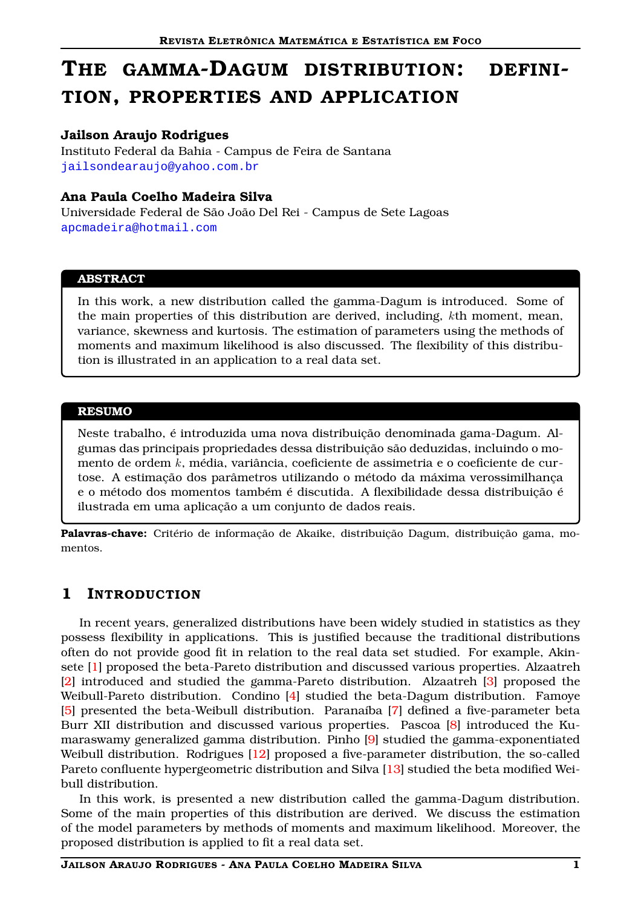# THE GAMMA-DAGUM DISTRIBUTION: DEFINI-TION, PROPERTIES AND APPLICATION

## Jailson Araujo Rodrigues

Instituto Federal da Bahia - Campus de Feira de Santana <jailsondearaujo@yahoo.com.br>

## Ana Paula Coelho Madeira Silva

Universidade Federal de São João Del Rei - Campus de Sete Lagoas <apcmadeira@hotmail.com>

#### ABSTRACT

In this work, a new distribution called the gamma-Dagum is introduced. Some of the main properties of this distribution are derived, including, kth moment, mean, variance, skewness and kurtosis. The estimation of parameters using the methods of moments and maximum likelihood is also discussed. The flexibility of this distribution is illustrated in an application to a real data set.

### RESUMO

Neste trabalho, é introduzida uma nova distribuição denominada gama-Dagum. Algumas das principais propriedades dessa distribuição são deduzidas, incluindo o momento de ordem k, média, variância, coeficiente de assimetria e o coeficiente de curtose. A estimação dos parâmetros utilizando o método da máxima verossimilhança e o método dos momentos também é discutida. A flexibilidade dessa distribuição é ilustrada em uma aplicação a um conjunto de dados reais.

Palavras-chave: Critério de informação de Akaike, distribuição Dagum, distribuição gama, momentos.

## 1 INTRODUCTION

In recent years, generalized distributions have been widely studied in statistics as they possess flexibility in applications. This is justified because the traditional distributions often do not provide good fit in relation to the real data set studied. For example, Akinsete [\[1](#page-6-0)] proposed the beta-Pareto distribution and discussed various properties. Alzaatreh [\[2\]](#page-6-1) introduced and studied the gamma-Pareto distribution. Alzaatreh [\[3](#page-6-2)] proposed the Weibull-Pareto distribution. Condino [\[4](#page-6-3)] studied the beta-Dagum distribution. Famoye [\[5\]](#page-6-4) presented the beta-Weibull distribution. Paranaíba [\[7](#page-6-5)] defined a five-parameter beta Burr XII distribution and discussed various properties. Pascoa [\[8](#page-6-6)] introduced the Kumaraswamy generalized gamma distribution. Pinho [\[9](#page-6-7)] studied the gamma-exponentiated Weibull distribution. Rodrigues [\[12](#page-6-8)] proposed a five-parameter distribution, the so-called Pareto confluente hypergeometric distribution and Silva [\[13](#page-6-9)] studied the beta modified Weibull distribution.

In this work, is presented a new distribution called the gamma-Dagum distribution. Some of the main properties of this distribution are derived. We discuss the estimation of the model parameters by methods of moments and maximum likelihood. Moreover, the proposed distribution is applied to fit a real data set.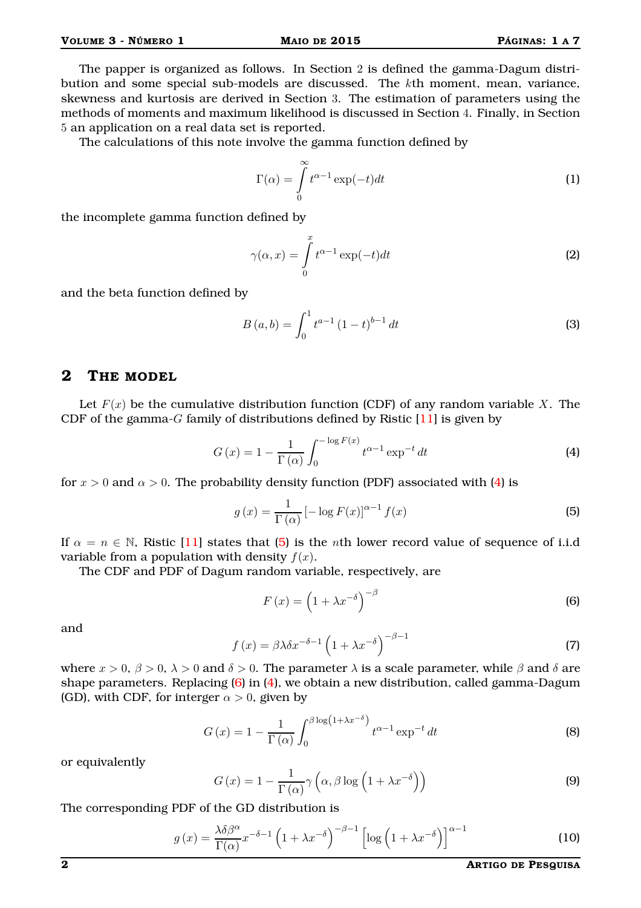The papper is organized as follows. In Section 2 is defined the gamma-Dagum distribution and some special sub-models are discussed. The kth moment, mean, variance, skewness and kurtosis are derived in Section 3. The estimation of parameters using the methods of moments and maximum likelihood is discussed in Section 4. Finally, in Section 5 an application on a real data set is reported.

The calculations of this note involve the gamma function defined by

$$
\Gamma(\alpha) = \int_{0}^{\infty} t^{\alpha - 1} \exp(-t) dt
$$
 (1)

the incomplete gamma function defined by

$$
\gamma(\alpha, x) = \int_{0}^{x} t^{\alpha - 1} \exp(-t) dt
$$
 (2)

and the beta function defined by

<span id="page-1-0"></span>
$$
B(a,b) = \int_0^1 t^{a-1} (1-t)^{b-1} dt
$$
 (3)

## 2 THE MODEL

Let  $F(x)$  be the cumulative distribution function (CDF) of any random variable X. The CDF of the gamma- $G$  family of distributions defined by Ristic  $[11]$  is given by

$$
G\left(x\right) = 1 - \frac{1}{\Gamma\left(\alpha\right)} \int_0^{-\log F(x)} t^{\alpha - 1} \exp^{-t} dt \tag{4}
$$

for  $x > 0$  and  $\alpha > 0$ . The probability density function (PDF) associated with [\(4\)](#page-1-0) is

$$
g(x) = \frac{1}{\Gamma(\alpha)} \left[ -\log F(x) \right]^{\alpha - 1} f(x)
$$
\n(5)

If  $\alpha = n \in \mathbb{N}$ , Ristic [\[11](#page-6-10)] states that [\(5\)](#page-1-1) is the *n*th lower record value of sequence of i.i.d variable from a population with density  $f(x)$ .

The CDF and PDF of Dagum random variable, respectively, are

<span id="page-1-2"></span><span id="page-1-1"></span>
$$
F(x) = \left(1 + \lambda x^{-\delta}\right)^{-\beta} \tag{6}
$$

and

<span id="page-1-4"></span>
$$
f(x) = \beta \lambda \delta x^{-\delta - 1} \left( 1 + \lambda x^{-\delta} \right)^{-\beta - 1}
$$
 (7)

where  $x > 0$ ,  $\beta > 0$ ,  $\lambda > 0$  and  $\delta > 0$ . The parameter  $\lambda$  is a scale parameter, while  $\beta$  and  $\delta$  are shape parameters. Replacing [\(6\)](#page-1-2) in [\(4\)](#page-1-0), we obtain a new distribution, called gamma-Dagum (GD), with CDF, for interger  $\alpha > 0$ , given by

$$
G\left(x\right) = 1 - \frac{1}{\Gamma\left(\alpha\right)} \int_0^{\beta \log\left(1 + \lambda x^{-\delta}\right)} t^{\alpha - 1} \exp^{-t} dt \tag{8}
$$

or equivalently

<span id="page-1-3"></span>
$$
G(x) = 1 - \frac{1}{\Gamma(\alpha)} \gamma \left( \alpha, \beta \log \left( 1 + \lambda x^{-\delta} \right) \right)
$$
 (9)

The corresponding PDF of the GD distribution is

$$
g(x) = \frac{\lambda \delta \beta^{\alpha}}{\Gamma(\alpha)} x^{-\delta - 1} \left( 1 + \lambda x^{-\delta} \right)^{-\beta - 1} \left[ \log \left( 1 + \lambda x^{-\delta} \right) \right]^{\alpha - 1}
$$
 (10)

2 ARTIGO DE PESQUISA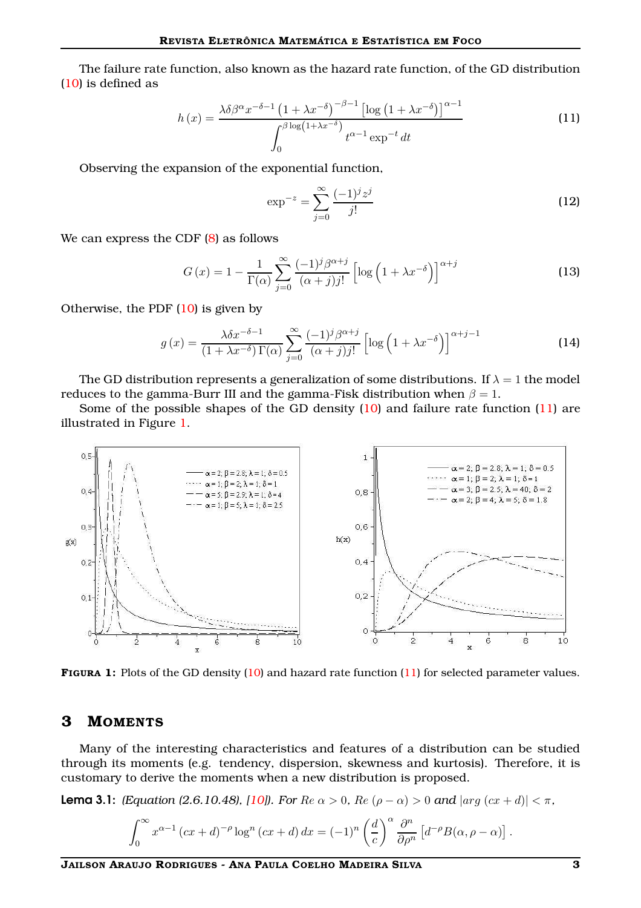The failure rate function, also known as the hazard rate function, of the GD distribution [\(10\)](#page-1-3) is defined as

<span id="page-2-0"></span>
$$
h(x) = \frac{\lambda \delta \beta^{\alpha} x^{-\delta - 1} \left(1 + \lambda x^{-\delta}\right)^{-\beta - 1} \left[\log\left(1 + \lambda x^{-\delta}\right)\right]^{\alpha - 1}}{\int_0^{\beta \log\left(1 + \lambda x^{-\delta}\right)} t^{\alpha - 1} \exp^{-t} dt}
$$
\n(11)

Observing the expansion of the exponential function,

$$
\exp^{-z} = \sum_{j=0}^{\infty} \frac{(-1)^j z^j}{j!}
$$
 (12)

We can express the CDF [\(8\)](#page-1-4) as follows

$$
G(x) = 1 - \frac{1}{\Gamma(\alpha)} \sum_{j=0}^{\infty} \frac{(-1)^j \beta^{\alpha+j}}{(\alpha+j)j!} \left[ \log \left( 1 + \lambda x^{-\delta} \right) \right]^{\alpha+j}
$$
(13)

Otherwise, the PDF  $(10)$  is given by

$$
g(x) = \frac{\lambda \delta x^{-\delta - 1}}{(1 + \lambda x^{-\delta}) \Gamma(\alpha)} \sum_{j=0}^{\infty} \frac{(-1)^j \beta^{\alpha + j}}{(\alpha + j) j!} \left[ \log \left( 1 + \lambda x^{-\delta} \right) \right]^{\alpha + j - 1}
$$
 (14)

The GD distribution represents a generalization of some distributions. If  $\lambda = 1$  the model reduces to the gamma-Burr III and the gamma-Fisk distribution when  $\beta = 1$ .

Some of the possible shapes of the GD density [\(10\)](#page-1-3) and failure rate function [\(11\)](#page-2-0) are illustrated in Figure [1.](#page-2-1)

<span id="page-2-1"></span>

FIGURA 1: Plots of the GD density [\(10\)](#page-1-3) and hazard rate function [\(11\)](#page-2-0) for selected parameter values.

### 3 MOMENTS

Many of the interesting characteristics and features of a distribution can be studied through its moments (e.g. tendency, dispersion, skewness and kurtosis). Therefore, it is customary to derive the moments when a new distribution is proposed.

<span id="page-2-2"></span>**Lema 3.1:** *(Equation (2.6.10.48), [10]). For*  $Re \alpha > 0$ *,*  $Re (\rho - \alpha) > 0$  *and*  $|arg (cx + d)| < \pi$ *,* 

$$
\int_0^\infty x^{\alpha-1} (cx+d)^{-\rho} \log^n (cx+d) dx = (-1)^n \left(\frac{d}{c}\right)^{\alpha} \frac{\partial^n}{\partial \rho^n} \left[d^{-\rho}B(\alpha, \rho - \alpha)\right].
$$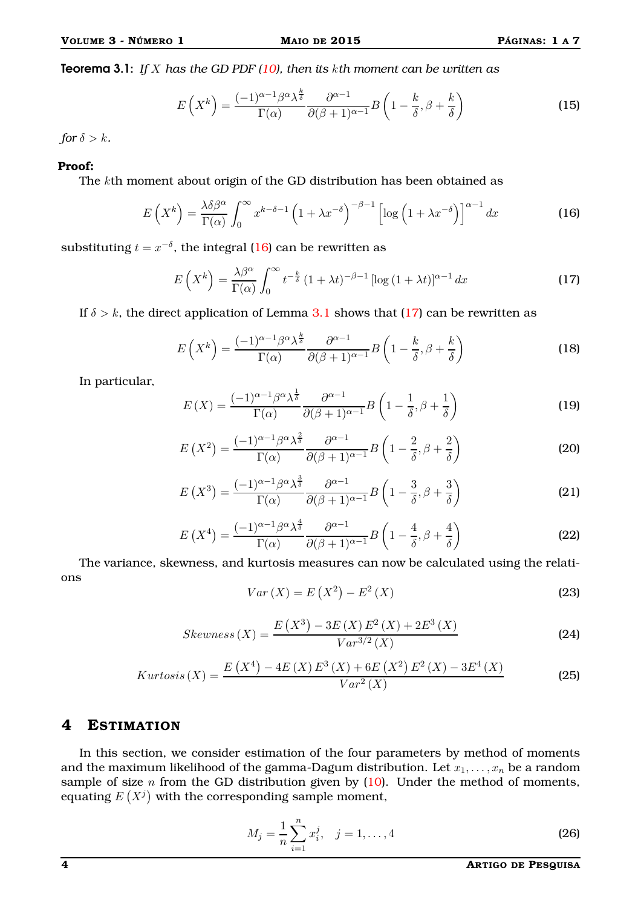<span id="page-3-1"></span><span id="page-3-0"></span>

Teorema 3.1: *If* X *has the GD PDF [\(10\)](#page-1-3), then its* k*th moment can be written as*

$$
E\left(X^{k}\right) = \frac{(-1)^{\alpha - 1}\beta^{\alpha}\lambda^{\frac{k}{\delta}}}{\Gamma(\alpha)}\frac{\partial^{\alpha - 1}}{\partial(\beta + 1)^{\alpha - 1}}B\left(1 - \frac{k}{\delta}, \beta + \frac{k}{\delta}\right)
$$
(15)

*for*  $\delta > k$ *.* 

#### Proof:

The kth moment about origin of the GD distribution has been obtained as

$$
E\left(X^{k}\right) = \frac{\lambda\delta\beta^{\alpha}}{\Gamma(\alpha)}\int_{0}^{\infty} x^{k-\delta-1} \left(1+\lambda x^{-\delta}\right)^{-\beta-1} \left[\log\left(1+\lambda x^{-\delta}\right)\right]^{\alpha-1} dx
$$
 (16)

substituting  $t = x^{-\delta}$ , the integral [\(16\)](#page-3-0) can be rewritten as

$$
E\left(X^{k}\right) = \frac{\lambda\beta^{\alpha}}{\Gamma(\alpha)} \int_{0}^{\infty} t^{-\frac{k}{\delta}} \left(1 + \lambda t\right)^{-\beta - 1} \left[\log\left(1 + \lambda t\right)\right]^{\alpha - 1} dx
$$
 (17)

If  $\delta > k$ , the direct application of Lemma [3.1](#page-2-2) shows that [\(17\)](#page-3-1) can be rewritten as

$$
E\left(X^{k}\right) = \frac{(-1)^{\alpha - 1}\beta^{\alpha}\lambda^{\frac{k}{\delta}}}{\Gamma(\alpha)}\frac{\partial^{\alpha - 1}}{\partial(\beta + 1)^{\alpha - 1}}B\left(1 - \frac{k}{\delta}, \beta + \frac{k}{\delta}\right)
$$
(18)

In particular,

$$
E(X) = \frac{(-1)^{\alpha - 1} \beta^{\alpha} \lambda^{\frac{1}{\delta}}}{\Gamma(\alpha)} \frac{\partial^{\alpha - 1}}{\partial (\beta + 1)^{\alpha - 1}} B\left(1 - \frac{1}{\delta}, \beta + \frac{1}{\delta}\right)
$$
(19)

$$
E(X^{2}) = \frac{(-1)^{\alpha - 1} \beta^{\alpha} \lambda^{\frac{2}{\delta}}}{\Gamma(\alpha)} \frac{\partial^{\alpha - 1}}{\partial(\beta + 1)^{\alpha - 1}} B\left(1 - \frac{2}{\delta}, \beta + \frac{2}{\delta}\right)
$$
(20)

$$
E(X^3) = \frac{(-1)^{\alpha - 1} \beta^{\alpha} \lambda^{\frac{3}{\delta}}}{\Gamma(\alpha)} \frac{\partial^{\alpha - 1}}{\partial(\beta + 1)^{\alpha - 1}} B\left(1 - \frac{3}{\delta}, \beta + \frac{3}{\delta}\right)
$$
(21)

$$
E\left(X^{4}\right) = \frac{(-1)^{\alpha-1}\beta^{\alpha}\lambda^{\frac{4}{\delta}}}{\Gamma(\alpha)}\frac{\partial^{\alpha-1}}{\partial(\beta+1)^{\alpha-1}}B\left(1-\frac{4}{\delta}, \beta+\frac{4}{\delta}\right)
$$
(22)

The variance, skewness, and kurtosis measures can now be calculated using the relations

$$
Var(X) = E(X^{2}) - E^{2}(X)
$$
\n(23)

$$
Skewness(X) = \frac{E(X^3) - 3E(X)E^2(X) + 2E^3(X)}{Var^{3/2}(X)}
$$
(24)

$$
Kurtosis(X) = \frac{E(X^4) - 4E(X)E^3(X) + 6E(X^2)E^2(X) - 3E^4(X)}{Var^2(X)}
$$
(25)

## 4 ESTIMATION

In this section, we consider estimation of the four parameters by method of moments and the maximum likelihood of the gamma-Dagum distribution. Let  $x_1, \ldots, x_n$  be a random sample of size  $n$  from the GD distribution given by  $(10)$ . Under the method of moments, equating  $E(X^j)$  with the corresponding sample moment,

$$
M_j = \frac{1}{n} \sum_{i=1}^{n} x_i^j, \quad j = 1, \dots, 4
$$
 (26)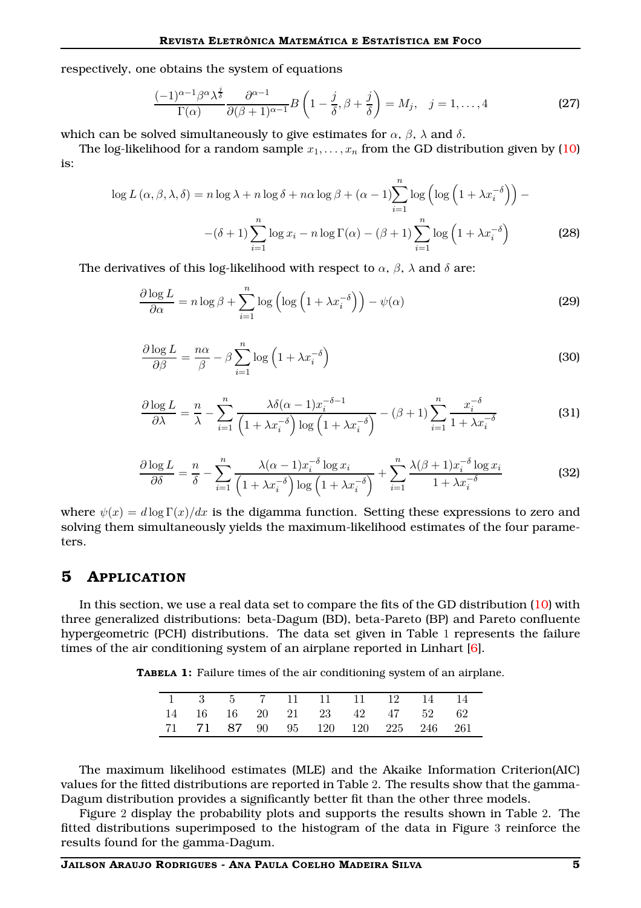respectively, one obtains the system of equations

$$
\frac{(-1)^{\alpha-1}\beta^{\alpha}\lambda^{\frac{j}{\delta}}}{\Gamma(\alpha)}\frac{\partial^{\alpha-1}}{\partial(\beta+1)^{\alpha-1}}B\left(1-\frac{j}{\delta},\beta+\frac{j}{\delta}\right)=M_j,\quad j=1,\ldots,4
$$
 (27)

which can be solved simultaneously to give estimates for  $\alpha$ ,  $\beta$ ,  $\lambda$  and  $\delta$ .

The log-likelihood for a random sample  $x_1, \ldots, x_n$  from the GD distribution given by [\(10\)](#page-1-3) is:

$$
\log L\left(\alpha, \beta, \lambda, \delta\right) = n \log \lambda + n \log \delta + n \alpha \log \beta + (\alpha - 1) \sum_{i=1}^{n} \log \left(\log \left(1 + \lambda x_i^{-\delta}\right)\right) - \left(\delta + 1\right) \sum_{i=1}^{n} \log x_i - n \log \Gamma(\alpha) - (\beta + 1) \sum_{i=1}^{n} \log \left(1 + \lambda x_i^{-\delta}\right)
$$
\n(28)

The derivatives of this log-likelihood with respect to  $\alpha$ ,  $\beta$ ,  $\lambda$  and  $\delta$  are:

$$
\frac{\partial \log L}{\partial \alpha} = n \log \beta + \sum_{i=1}^{n} \log \left( \log \left( 1 + \lambda x_i^{-\delta} \right) \right) - \psi(\alpha)
$$
\n(29)

$$
\frac{\partial \log L}{\partial \beta} = \frac{n\alpha}{\beta} - \beta \sum_{i=1}^{n} \log \left( 1 + \lambda x_i^{-\delta} \right)
$$
 (30)

$$
\frac{\partial \log L}{\partial \lambda} = \frac{n}{\lambda} - \sum_{i=1}^{n} \frac{\lambda \delta(\alpha - 1) x_i^{-\delta - 1}}{\left(1 + \lambda x_i^{-\delta}\right) \log\left(1 + \lambda x_i^{-\delta}\right)} - (\beta + 1) \sum_{i=1}^{n} \frac{x_i^{-\delta}}{1 + \lambda x_i^{-\delta}}
$$
(31)

$$
\frac{\partial \log L}{\partial \delta} = \frac{n}{\delta} - \sum_{i=1}^{n} \frac{\lambda(\alpha - 1)x_i^{-\delta} \log x_i}{\left(1 + \lambda x_i^{-\delta}\right) \log\left(1 + \lambda x_i^{-\delta}\right)} + \sum_{i=1}^{n} \frac{\lambda(\beta + 1)x_i^{-\delta} \log x_i}{1 + \lambda x_i^{-\delta}}
$$
(32)

where  $\psi(x) = d \log \Gamma(x)/dx$  is the digamma function. Setting these expressions to zero and solving them simultaneously yields the maximum-likelihood estimates of the four parameters.

## 5 APPLICATION

In this section, we use a real data set to compare the fits of the GD distribution [\(10\)](#page-1-3) with three generalized distributions: beta-Dagum (BD), beta-Pareto (BP) and Pareto confluente hypergeometric (PCH) distributions. The data set given in Table 1 represents the failure times of the air conditioning system of an airplane reported in Linhart [\[6\]](#page-6-12).

TABELA 1: Failure times of the air conditioning system of an airplane.

|  |  | 1 3 5 7 11 11 11 12 14 14          |  |  |
|--|--|------------------------------------|--|--|
|  |  | 14 16 16 20 21 23 42 47 52 62      |  |  |
|  |  | 71 71 87 90 95 120 120 225 246 261 |  |  |

The maximum likelihood estimates (MLE) and the Akaike Information Criterion(AIC) values for the fitted distributions are reported in Table 2. The results show that the gamma-Dagum distribution provides a significantly better fit than the other three models.

Figure 2 display the probability plots and supports the results shown in Table 2. The fitted distributions superimposed to the histogram of the data in Figure 3 reinforce the results found for the gamma-Dagum.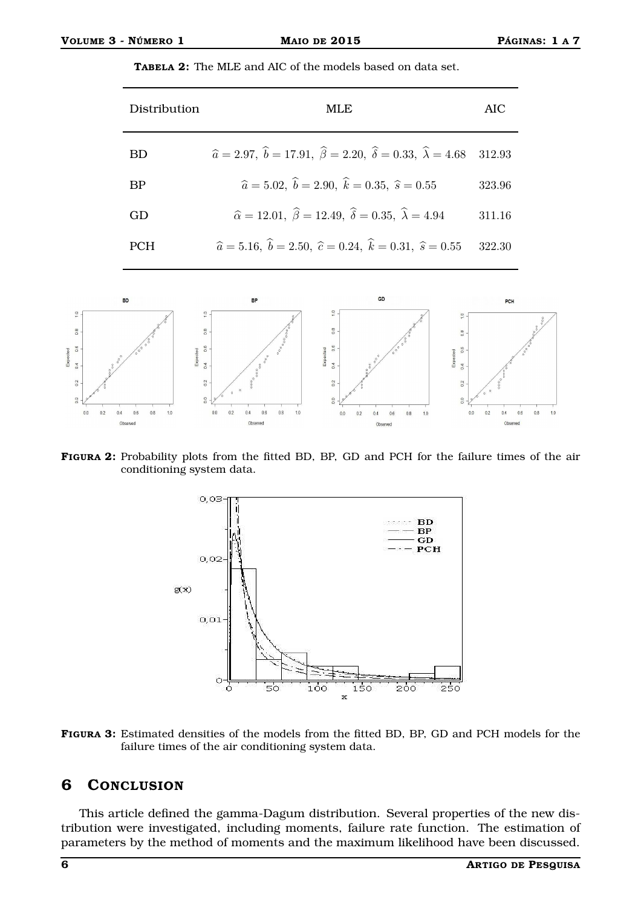$\circ$ 

 $\frac{8}{2}$ 

 $0.6$ 

 $\frac{1}{4}$ 

 $\overline{12}$ 

 $20$ 

 $0.0$  $0.2$  $0.4$  $0.6$  $0.8$ 1.0  $\frac{1}{2}$ 

 $0.0$  $0.2$  $0.4$  $0.6$  $0.8$ 10

 $\Omega$ 

ă  $\equiv x \bar{p}$ 

| <b>TABELA 2:</b> The MLE and AIC of the models based on data set. |  |
|-------------------------------------------------------------------|--|
|-------------------------------------------------------------------|--|





 $\overline{a}$ 

 $0<sub>0</sub>$ 

 $02$  $04$  $0.6$  $0.8$  $10$ 

Ob

 $\overline{a}$ 

 $0.0$  $0.2$  $0.4$  $0.6$  $0.8$  $1.0$ 

 $\alpha$ 



FIGURA 3: Estimated densities of the models from the fitted BD, BP, GD and PCH models for the failure times of the air conditioning system data.

## 6 CONCLUSION

This article defined the gamma-Dagum distribution. Several properties of the new distribution were investigated, including moments, failure rate function. The estimation of parameters by the method of moments and the maximum likelihood have been discussed.